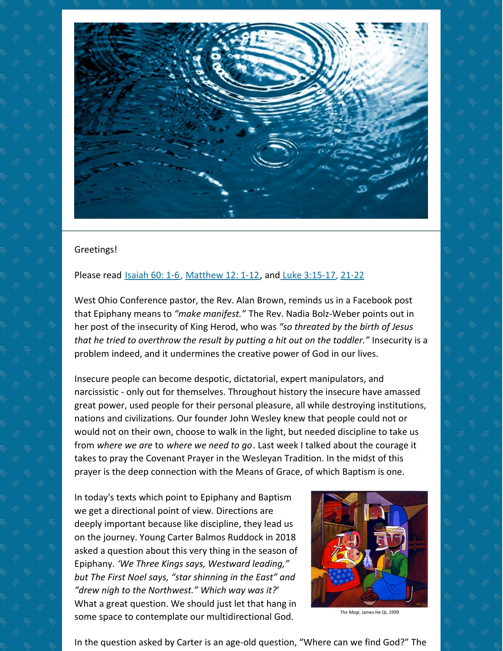

## Greetings!

## Please rea[d](https://www.biblegateway.com/passage/?search=Luke+3%3A15-17%2C+21-22&version=NRSV) **[Isaiah](https://www.biblegateway.com/passage/?search=Isaiah+60%3A+1-6&version=NRSV) 60: 1-6, [Matthew](https://www.biblegateway.com/passage/?search=Matthew+12%3A+1-12&version=NRSV) 12: 1-12**, and Luke [3:15-17](https://www.biblegateway.com/passage/?search=Luke+3%3A15-17%2C+21-22&version=NRSV), [21-22](https://www.biblegateway.com/passage/?search=Luke+3%3A21-22&version=NRSV)

West Ohio Conference pastor, the Rev. Alan Brown, reminds us in a Facebook post that Epiphany means to *"make manifest."* The Rev. Nadia Bolz-Weber points out in her post of the insecurity of King Herod, who was *"so threated by the birth of Jesus that he tried to overthrow the result by putting a hit out on the toddler."* Insecurity is a problem indeed, and it undermines the creative power of God in our lives.

Insecure people can become despotic, dictatorial, expert manipulators, and narcissistic - only out for themselves. Throughout history the insecure have amassed great power, used people for their personal pleasure, all while destroying institutions, nations and civilizations. Our founder John Wesley knew that people could not or would not on their own, choose to walk in the light, but needed discipline to take us from *where we are* to *where we need to go*. Last week I talked about the courage it takes to pray the Covenant Prayer in the Wesleyan Tradition. In the midst of this prayer is the deep connection with the Means of Grace, of which Baptism is one.

In today's texts which point to Epiphany and Baptism we get a directional point of view. Directions are deeply important because like discipline, they lead us on the journey. Young Carter Balmos Ruddock in 2018 asked a question about this very thing in the season of Epiphany. *'We Three Kings says, Westward leading," but The First Noel says, "star shinning in the East" and "drew nigh to the Northwest." Which way was it?*' What a great question. We should just let that hang in some space to contemplate our multidirectional God.



The Magi, James He Qi, 1999

In the question asked by Carter is an age-old question, "Where can we find God?" The